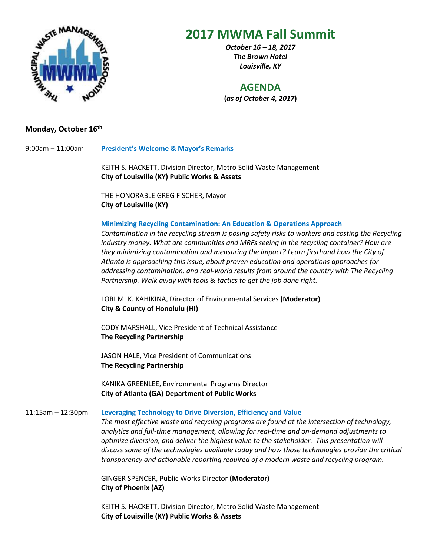

# **2017 MWMA Fall Summit**

*October 16 – 18, 2017 The Brown Hotel Louisville, KY*

# **AGENDA**

**(***as of October 4, 2017***)**

# **Monday, October 16 th**

9:00am – 11:00am **President's Welcome & Mayor's Remarks**

KEITH S. HACKETT, Division Director, Metro Solid Waste Management **City of Louisville (KY) Public Works & Assets**

THE HONORABLE GREG FISCHER, Mayor **City of Louisville (KY)**

## **Minimizing Recycling Contamination: An Education & Operations Approach**

*Contamination in the recycling stream is posing safety risks to workers and costing the Recycling industry money. What are communities and MRFs seeing in the recycling container? How are they minimizing contamination and measuring the impact? Learn firsthand how the City of Atlanta is approaching this issue, about proven education and operations approaches for addressing contamination, and real-world results from around the country with The Recycling Partnership. Walk away with tools & tactics to get the job done right.*

LORI M. K. KAHIKINA, Director of Environmental Services **(Moderator) City & County of Honolulu (HI)**

CODY MARSHALL, Vice President of Technical Assistance **The Recycling Partnership**

JASON HALE, Vice President of Communications **The Recycling Partnership** 

KANIKA GREENLEE, Environmental Programs Director **City of Atlanta (GA) Department of Public Works**

## 11:15am – 12:30pm **Leveraging Technology to Drive Diversion, Efficiency and Value**

*The most effective waste and recycling programs are found at the intersection of technology, analytics and full-time management, allowing for real-time and on-demand adjustments to optimize diversion, and deliver the highest value to the stakeholder. This presentation will discuss some of the technologies available today and how those technologies provide the critical transparency and actionable reporting required of a modern waste and recycling program.*

GINGER SPENCER, Public Works Director **(Moderator) City of Phoenix (AZ)** 

KEITH S. HACKETT, Division Director, Metro Solid Waste Management **City of Louisville (KY) Public Works & Assets**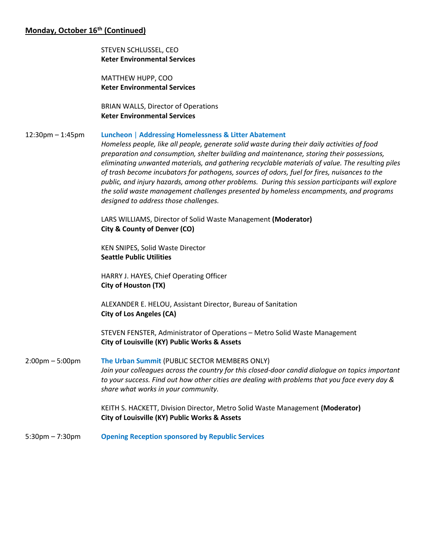# **Monday, October 16th (Continued)**

STEVEN SCHLUSSEL, CEO **Keter Environmental Services**

MATTHEW HUPP, COO **Keter Environmental Services**

BRIAN WALLS, Director of Operations **Keter Environmental Services**

## 12:30pm – 1:45pm **Luncheon** | **Addressing Homelessness & Litter Abatement**

*Homeless people, like all people, generate solid waste during their daily activities of food preparation and consumption, shelter building and maintenance, storing their possessions, eliminating unwanted materials, and gathering recyclable materials of value. The resulting piles of trash become incubators for pathogens, sources of odors, fuel for fires, nuisances to the public, and injury hazards, among other problems. During this session participants will explore the solid waste management challenges presented by homeless encampments, and programs designed to address those challenges.* 

LARS WILLIAMS, Director of Solid Waste Management **(Moderator) City & County of Denver (CO)**

KEN SNIPES, Solid Waste Director **Seattle Public Utilities**

HARRY J. HAYES, Chief Operating Officer **City of Houston (TX)**

ALEXANDER E. HELOU, Assistant Director, Bureau of Sanitation **City of Los Angeles (CA)**

STEVEN FENSTER, Administrator of Operations – Metro Solid Waste Management **City of Louisville (KY) Public Works & Assets**

2:00pm – 5:00pm **The Urban Summit** (PUBLIC SECTOR MEMBERS ONLY) *Join your colleagues across the country for this closed-door candid dialogue on topics important to your success. Find out how other cities are dealing with problems that you face every day & share what works in your community.*

> KEITH S. HACKETT, Division Director, Metro Solid Waste Management **(Moderator) City of Louisville (KY) Public Works & Assets**

5:30pm – 7:30pm **Opening Reception sponsored by Republic Services**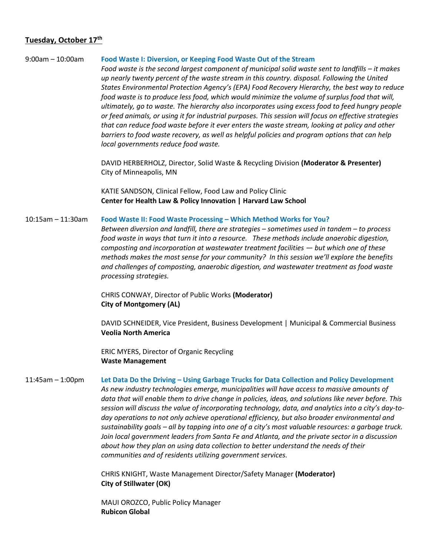## **Tuesday, October 17th**

#### 9:00am – 10:00am **Food Waste I: Diversion, or Keeping Food Waste Out of the Stream**

*Food waste is the second largest component of municipal solid waste sent to landfills – it makes up nearly twenty percent of the waste stream in this country. disposal. Following the United States Environmental Protection Agency's (EPA) Food Recovery Hierarchy, the best way to reduce food waste is to produce less food, which would minimize the volume of surplus food that will, ultimately, go to waste. The hierarchy also incorporates using excess food to feed hungry people or feed animals, or using it for industrial purposes. This session will focus on effective strategies that can reduce food waste before it ever enters the waste stream, looking at policy and other barriers to food waste recovery, as well as helpful policies and program options that can help local governments reduce food waste.* 

DAVID HERBERHOLZ, Director, Solid Waste & Recycling Division **(Moderator & Presenter)** City of Minneapolis, MN

KATIE SANDSON, Clinical Fellow, Food Law and Policy Clinic **Center for Health Law & Policy Innovation | Harvard Law School**

#### 10:15am – 11:30am **Food Waste II: Food Waste Processing – Which Method Works for You?**

*Between diversion and landfill, there are strategies – sometimes used in tandem – to process food waste in ways that turn it into a resource. These methods include anaerobic digestion, composting and incorporation at wastewater treatment facilities — but which one of these methods makes the most sense for your community? In this session we'll explore the benefits and challenges of composting, anaerobic digestion, and wastewater treatment as food waste processing strategies.*

CHRIS CONWAY, Director of Public Works **(Moderator) City of Montgomery (AL)**

DAVID SCHNEIDER, Vice President, Business Development | Municipal & Commercial Business **Veolia North America**

ERIC MYERS, Director of Organic Recycling **Waste Management**

#### 11:45am – 1:00pm **Let Data Do the Driving – Using Garbage Trucks for Data Collection and Policy Development**

*As new industry technologies emerge, municipalities will have access to massive amounts of data that will enable them to drive change in policies, ideas, and solutions like never before. This session will discuss the value of incorporating technology, data, and analytics into a city's day-today operations to not only achieve operational efficiency, but also broader environmental and sustainability goals – all by tapping into one of a city's most valuable resources: a garbage truck. Join local government leaders from Santa Fe and Atlanta, and the private sector in a discussion about how they plan on using data collection to better understand the needs of their communities and of residents utilizing government services.*

CHRIS KNIGHT, Waste Management Director/Safety Manager **(Moderator) City of Stillwater (OK)**

MAUI OROZCO, Public Policy Manager **Rubicon Global**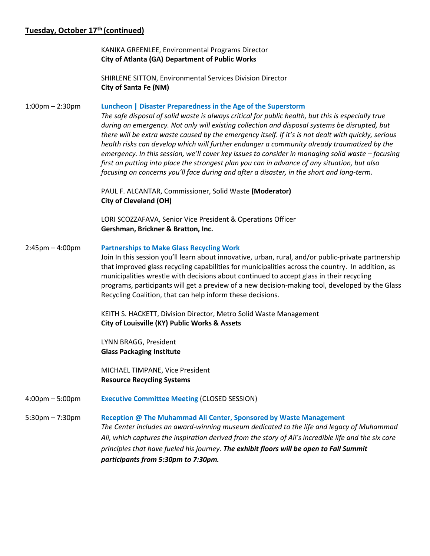# **Tuesday, October 17th (continued)**

KANIKA GREENLEE, Environmental Programs Director **City of Atlanta (GA) Department of Public Works**

SHIRLENE SITTON, Environmental Services Division Director **City of Santa Fe (NM)**

## 1:00pm – 2:30pm **Luncheon | Disaster Preparedness in the Age of the Superstorm**

*The safe disposal of solid waste is always critical for public health, but this is especially true during an emergency. Not only will existing collection and disposal systems be disrupted, but there will be extra waste caused by the emergency itself. If it's is not dealt with quickly, serious health risks can develop which will further endanger a community already traumatized by the emergency. In this session, we'll cover key issues to consider in managing solid waste – focusing first on putting into place the strongest plan you can in advance of any situation, but also focusing on concerns you'll face during and after a disaster, in the short and long-term.*

PAUL F. ALCANTAR, Commissioner, Solid Waste **(Moderator) City of Cleveland (OH)**

LORI SCOZZAFAVA, Senior Vice President & Operations Officer **Gershman, Brickner & Bratton, Inc.**

## 2:45pm – 4:00pm **Partnerships to Make Glass Recycling Work**

Join In this session you'll learn about innovative, urban, rural, and/or public-private partnership that improved glass recycling capabilities for municipalities across the country. In addition, as municipalities wrestle with decisions about continued to accept glass in their recycling programs, participants will get a preview of a new decision-making tool, developed by the Glass Recycling Coalition, that can help inform these decisions.

KEITH S. HACKETT, Division Director, Metro Solid Waste Management **City of Louisville (KY) Public Works & Assets**

LYNN BRAGG, President **Glass Packaging Institute**

MICHAEL TIMPANE, Vice President **Resource Recycling Systems** 

4:00pm – 5:00pm **Executive Committee Meeting** (CLOSED SESSION)

5:30pm – 7:30pm **Reception @ The Muhammad Ali Center, Sponsored by Waste Management** *The Center includes an award-winning museum dedicated to the life and legacy of Muhammad Ali, which captures the inspiration derived from the story of Ali's incredible life and the six core principles that have fueled his journey. The exhibit floors will be open to Fall Summit participants from 5:30pm to 7:30pm.*